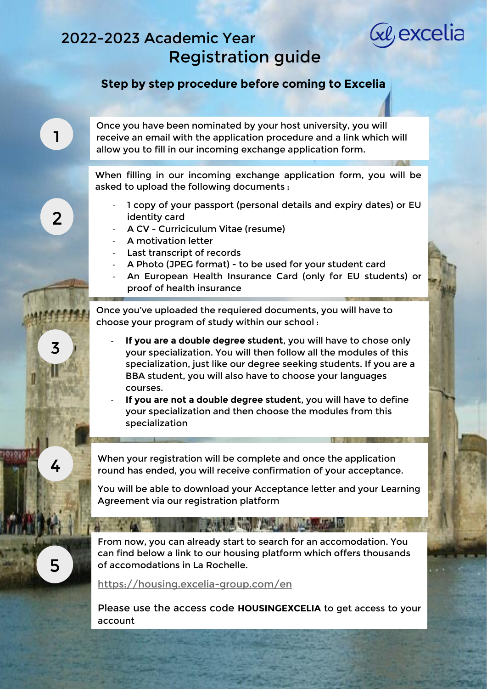## 2022-2023 Academic Year Registration guide

## **Step by step procedure before coming to Excelia**

Ge excelia

Once you have been nominated by your host university, you will receive an email with the application procedure and a link which will allow you to fill in our incoming exchange application form.

When filling in our incoming exchange application form, you will be asked to upload the following documents :

- 1 copy of your passport (personal details and expiry dates) or EU identity card
- A CV Curriciculum Vitae (resume)
- A motivation letter
- Last transcript of records
- A Photo (JPEG format) to be used for your student card
- An European Health Insurance Card (only for EU students) or proof of health insurance

Once you've uploaded the requiered documents, you will have to choose your program of study within our school :

- **If you are a double degree student**, you will have to chose only your specialization. You will then follow all the modules of this specialization, just like our degree seeking students. If you are a BBA student, you will also have to choose your languages courses.
- **If you are not a double degree student**, you will have to define your specialization and then choose the modules from this specialization

When your registration will be complete and once the application round has ended, you will receive confirmation of your acceptance.

You will be able to download your Acceptance letter and your Learning Agreement via our registration platform

**AT LEAST CONTRACT OF A REPORT OF A REPORT** 

From now, you can already start to search for an accomodation. You can find below a link to our housing platform which offers thousands of accomodations in La Rochelle.

<https://housing.excelia-group.com/en>

Please use the access code **HOUSINGEXCELIA** to get access to your account

2

3

4

5

**Albany Police** 

1